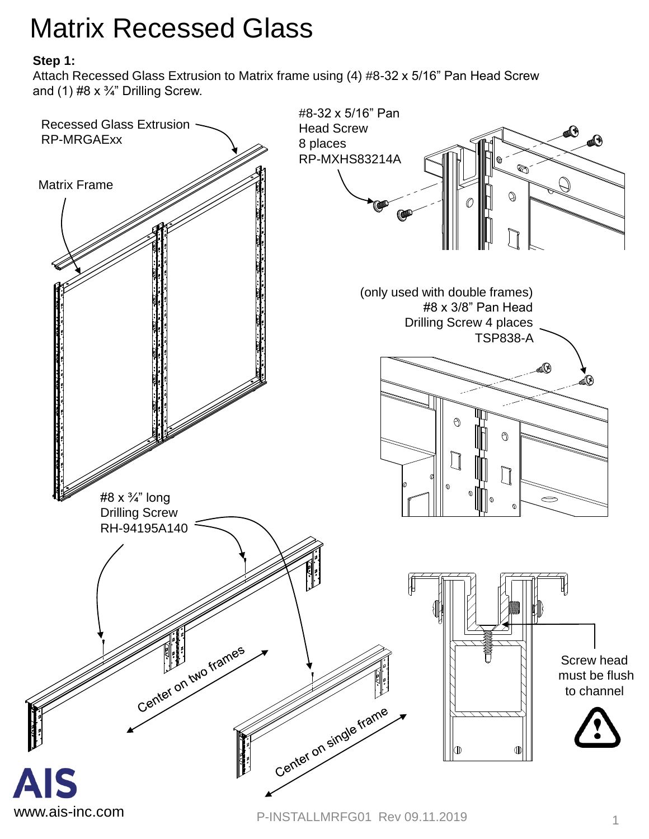# Matrix Recessed Glass

### **Step 1:**

Attach Recessed Glass Extrusion to Matrix frame using (4) #8-32 x 5/16" Pan Head Screw and (1)  $#8 \times 3/4$ " Drilling Screw.

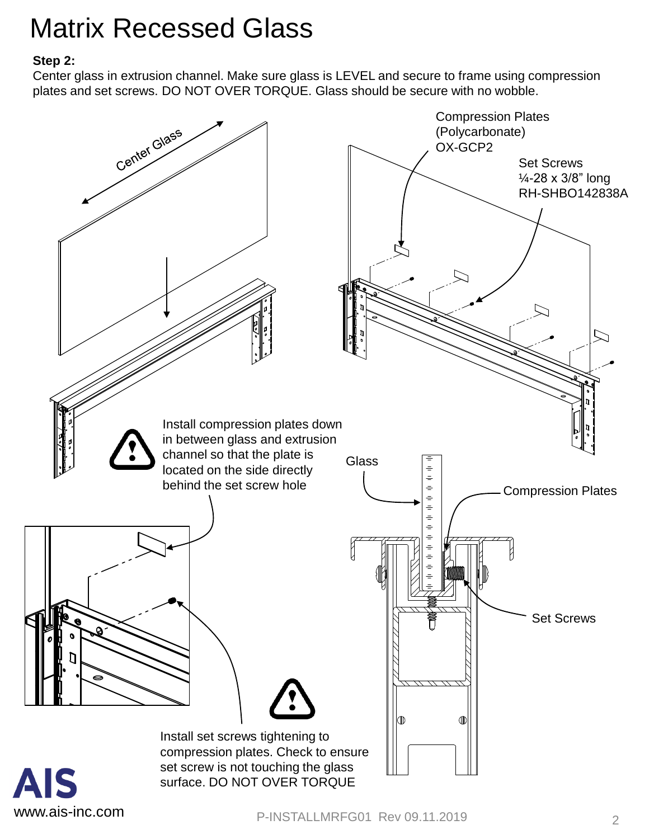# Matrix Recessed Glass

#### **Step 2:**

Center glass in extrusion channel. Make sure glass is LEVEL and secure to frame using compression plates and set screws. DO NOT OVER TORQUE. Glass should be secure with no wobble.